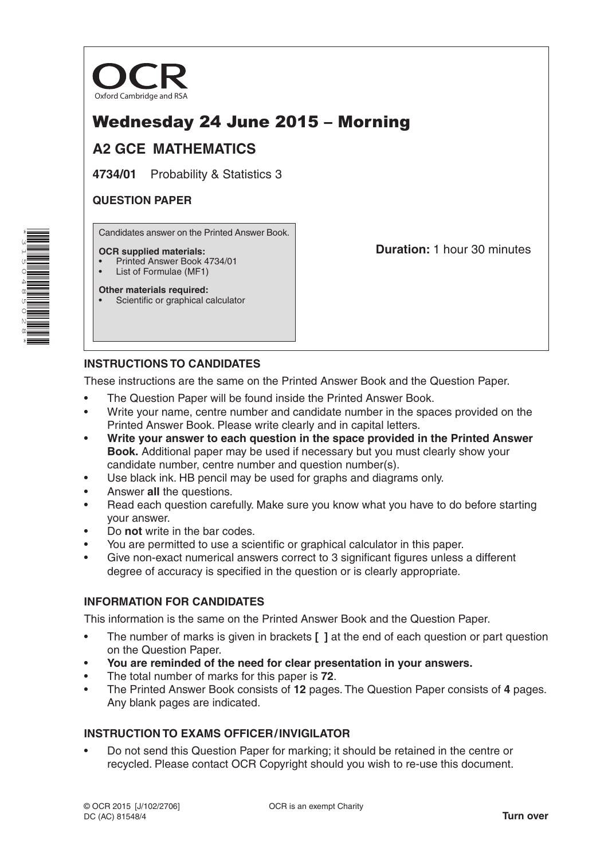

# Wednesday 24 June 2015 – Morning

# **A2 GCE MATHEMATICS**

**4734/01** Probability & Statistics 3

# **QUESTION PAPER**

Candidates answer on the Printed Answer Book.

#### **OCR supplied materials:**

- Printed Answer Book 4734/01
- List of Formulae (MF1) **Other materials required:**

**Duration:** 1 hour 30 minutes

Scientific or graphical calculator

# **INSTRUCTIONS TO CANDIDATES**

These instructions are the same on the Printed Answer Book and the Question Paper.

- The Question Paper will be found inside the Printed Answer Book.
- Write your name, centre number and candidate number in the spaces provided on the Printed Answer Book. Please write clearly and in capital letters.
- **Write your answer to each question in the space provided in the Printed Answer Book.** Additional paper may be used if necessary but you must clearly show your candidate number, centre number and question number(s).
- Use black ink. HB pencil may be used for graphs and diagrams only.
- Answer **all** the questions.
- Read each question carefully. Make sure you know what you have to do before starting your answer.
- Do **not** write in the bar codes.
- You are permitted to use a scientific or graphical calculator in this paper.
- Give non-exact numerical answers correct to 3 significant figures unless a different degree of accuracy is specified in the question or is clearly appropriate.

# **INFORMATION FOR CANDIDATES**

This information is the same on the Printed Answer Book and the Question Paper.

- The number of marks is given in brackets **[ ]** at the end of each question or part question on the Question Paper.
- **You are reminded of the need for clear presentation in your answers.**
- The total number of marks for this paper is **72**.
- The Printed Answer Book consists of **12** pages. The Question Paper consists of **4** pages. Any blank pages are indicated.

# **INSTRUCTION TO EXAMS OFFICER/INVIGILATOR**

• Do not send this Question Paper for marking; it should be retained in the centre or recycled. Please contact OCR Copyright should you wish to re-use this document.

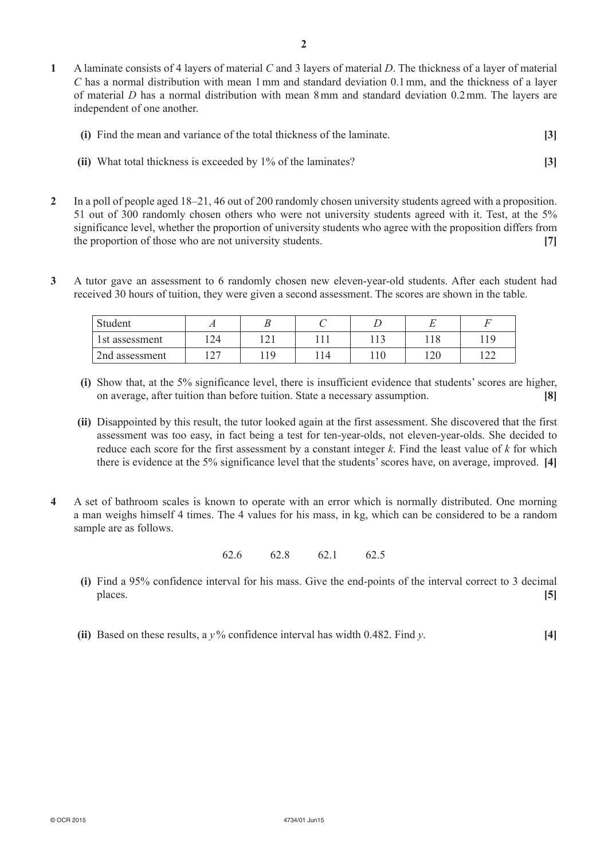**1**  A laminate consists of 4 layers of material *C* and 3 layers of material *D*. The thickness of a layer of material *C* has a normal distribution with mean 1mm and standard deviation 0.1mm, and the thickness of a layer of material *D* has a normal distribution with mean 8mm and standard deviation 0.2mm. The layers are independent of one another.

| (i) Find the mean and variance of the total thickness of the laminate. |  |
|------------------------------------------------------------------------|--|
|------------------------------------------------------------------------|--|

- **(ii)** What total thickness is exceeded by 1% of the laminates? [3]
- **2**  In a poll of people aged 18–21, 46 out of 200 randomly chosen university students agreed with a proposition. 51 out of 300 randomly chosen others who were not university students agreed with it. Test, at the 5% significance level, whether the proportion of university students who agree with the proposition differs from the proportion of those who are not university students. **[7]**
- **3**  A tutor gave an assessment to 6 randomly chosen new eleven-year-old students. After each student had received 30 hours of tuition, they were given a second assessment. The scores are shown in the table.

| Student        |    |       |     |             |                                 |
|----------------|----|-------|-----|-------------|---------------------------------|
| 1st assessment | 24 | 1 ∠ 1 |     | 110         |                                 |
| 2nd assessment |    | 10    | 110 | 120<br>14 V | $\overline{\phantom{a}}$<br>ک ک |

- **(i)** Show that, at the 5% significance level, there is insufficient evidence that students' scores are higher, on average, after tuition than before tuition. State a necessary assumption. **[8]**
- **(ii)** Disappointed by this result, the tutor looked again at the first assessment. She discovered that the first assessment was too easy, in fact being a test for ten-year-olds, not eleven-year-olds. She decided to reduce each score for the first assessment by a constant integer *k*. Find the least value of *k* for which there is evidence at the 5% significance level that the students' scores have, on average, improved. **[4]**
- **4**  A set of bathroom scales is known to operate with an error which is normally distributed. One morning a man weighs himself 4 times. The 4 values for his mass, in kg, which can be considered to be a random sample are as follows.

62.6 62.8 62.1 62.5

- **(i)** Find a 95% confidence interval for his mass. Give the end-points of the interval correct to 3 decimal places. **[5]**
- **(ii)** Based on these results, a  $y\%$  confidence interval has width 0.482. Find *y*. [4]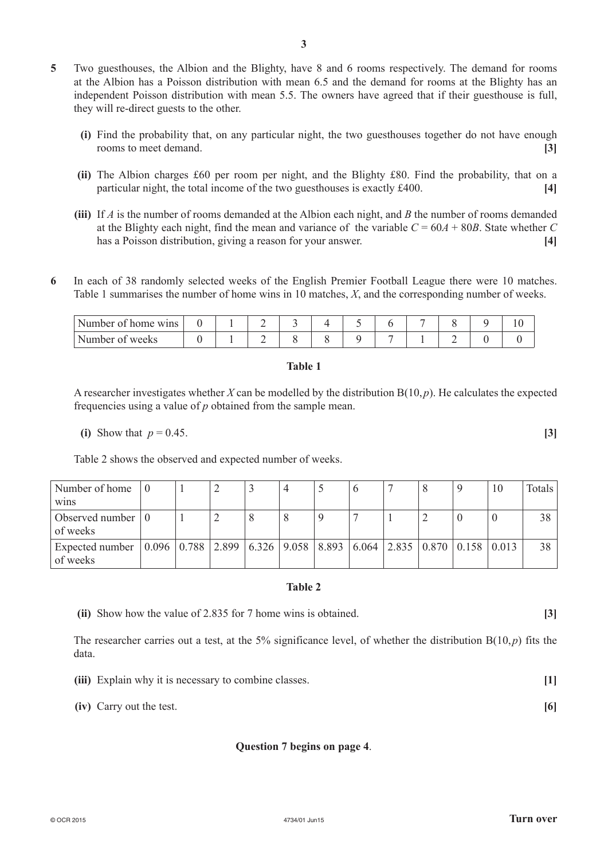**5**  Two guesthouses, the Albion and the Blighty, have 8 and 6 rooms respectively. The demand for rooms at the Albion has a Poisson distribution with mean 6.5 and the demand for rooms at the Blighty has an independent Poisson distribution with mean 5.5. The owners have agreed that if their guesthouse is full, they will re-direct guests to the other.

**3**

- **(i)** Find the probability that, on any particular night, the two guesthouses together do not have enough rooms to meet demand. **[3]**
- **(ii)** The Albion charges £60 per room per night, and the Blighty £80. Find the probability, that on a particular night, the total income of the two guesthouses is exactly £400. **[4]**
- **(iii)** If *A* is the number of rooms demanded at the Albion each night, and *B* the number of rooms demanded at the Blighty each night, find the mean and variance of the variable  $C = 60A + 80B$ . State whether *C* has a Poisson distribution, giving a reason for your answer. **[4]**
- **6**  In each of 38 randomly selected weeks of the English Premier Football League there were 10 matches. Table 1 summarises the number of home wins in 10 matches, *X*, and the corresponding number of weeks.

| $\perp$ Number of home wins $\perp$ |  |  |  |  |  |  |
|-------------------------------------|--|--|--|--|--|--|
| Number of weeks                     |  |  |  |  |  |  |

### **Table 1**

A researcher investigates whether *X* can be modelled by the distribution B(10,*p*). He calculates the expected frequencies using a value of *p* obtained from the sample mean.

**(i)** Show that  $p = 0.45$ . **[3]** 

Table 2 shows the observed and expected number of weeks.

| Number of home $\vert 0 \rangle$                                                                                                                                  |  | ∽ | 4 |  |  | 10 | Totals |
|-------------------------------------------------------------------------------------------------------------------------------------------------------------------|--|---|---|--|--|----|--------|
| <b>WINS</b>                                                                                                                                                       |  |   |   |  |  |    |        |
| Observed number $\vert 0 \rangle$<br>of weeks                                                                                                                     |  | ∸ |   |  |  |    | 38     |
| Expected number $\vert 0.096 \vert 0.788 \vert 2.899 \vert 6.326 \vert 9.058 \vert 8.893 \vert 6.064 \vert 2.835 \vert 0.870 \vert 0.158 \vert 0.013$<br>of weeks |  |   |   |  |  |    | 38     |

#### **Table 2**

**(ii)** Show how the value of 2.835 for 7 home wins is obtained. **[3]** 

The researcher carries out a test, at the 5% significance level, of whether the distribution  $B(10, p)$  fits the data.

*(iii)* Explain why it is necessary to combine classes. **[1]** 

**(iv)** Carry out the test. **[6]** 

#### **Question 7 begins on page 4**.